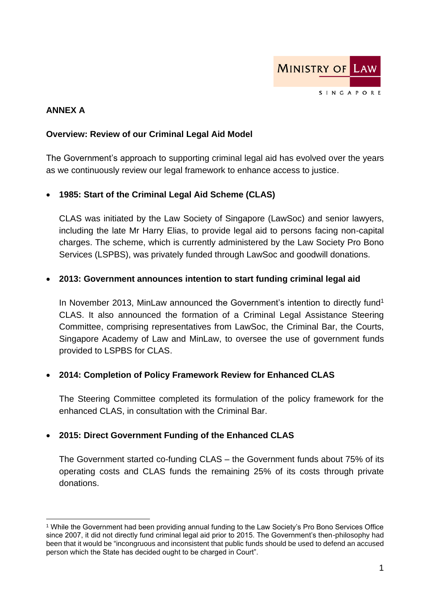

## **ANNEX A**

#### **Overview: Review of our Criminal Legal Aid Model**

The Government's approach to supporting criminal legal aid has evolved over the years as we continuously review our legal framework to enhance access to justice.

### • **1985: Start of the Criminal Legal Aid Scheme (CLAS)**

CLAS was initiated by the Law Society of Singapore (LawSoc) and senior lawyers, including the late Mr Harry Elias, to provide legal aid to persons facing non-capital charges. The scheme, which is currently administered by the Law Society Pro Bono Services (LSPBS), was privately funded through LawSoc and goodwill donations.

#### • **2013: Government announces intention to start funding criminal legal aid**

In November 2013, MinLaw announced the Government's intention to directly fund<sup>1</sup> CLAS. It also announced the formation of a Criminal Legal Assistance Steering Committee, comprising representatives from LawSoc, the Criminal Bar, the Courts, Singapore Academy of Law and MinLaw, to oversee the use of government funds provided to LSPBS for CLAS.

### • **2014: Completion of Policy Framework Review for Enhanced CLAS**

The Steering Committee completed its formulation of the policy framework for the enhanced CLAS, in consultation with the Criminal Bar.

### • **2015: Direct Government Funding of the Enhanced CLAS**

The Government started co-funding CLAS – the Government funds about 75% of its operating costs and CLAS funds the remaining 25% of its costs through private donations.

<sup>1</sup> While the Government had been providing annual funding to the Law Society's Pro Bono Services Office since 2007, it did not directly fund criminal legal aid prior to 2015. The Government's then-philosophy had been that it would be "incongruous and inconsistent that public funds should be used to defend an accused person which the State has decided ought to be charged in Court".